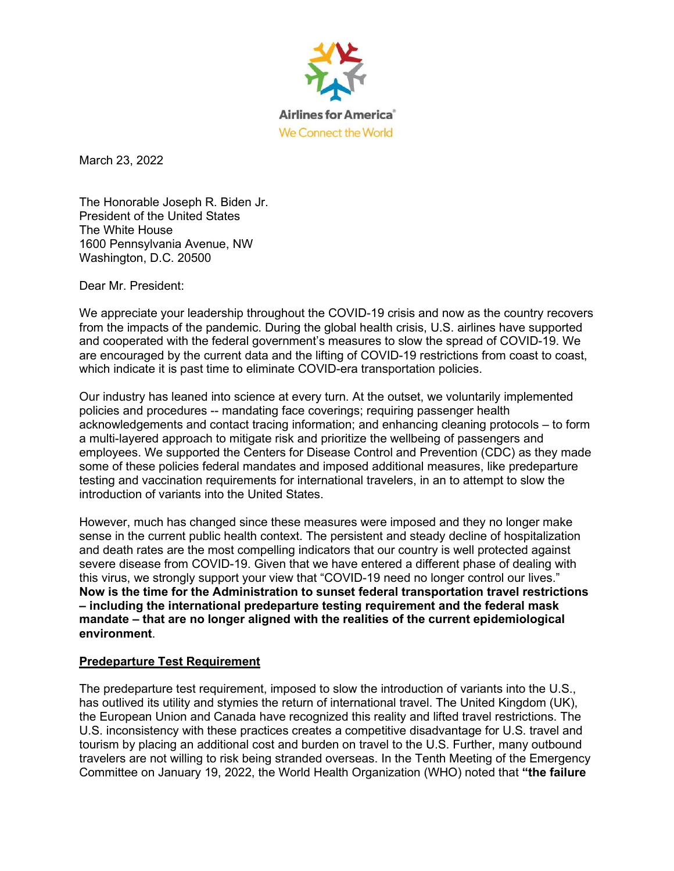

March 23, 2022

The Honorable Joseph R. Biden Jr. President of the United States The White House 1600 Pennsylvania Avenue, NW Washington, D.C. 20500

Dear Mr. President:

We appreciate your leadership throughout the COVID-19 crisis and now as the country recovers from the impacts of the pandemic. During the global health crisis, U.S. airlines have supported and cooperated with the federal government's measures to slow the spread of COVID-19. We are encouraged by the current data and the lifting of COVID-19 restrictions from coast to coast, which indicate it is past time to eliminate COVID-era transportation policies.

Our industry has leaned into science at every turn. At the outset, we voluntarily implemented policies and procedures -- mandating face coverings; requiring passenger health acknowledgements and contact tracing information; and enhancing cleaning protocols – to form a multi-layered approach to mitigate risk and prioritize the wellbeing of passengers and employees. We supported the Centers for Disease Control and Prevention (CDC) as they made some of these policies federal mandates and imposed additional measures, like predeparture testing and vaccination requirements for international travelers, in an to attempt to slow the introduction of variants into the United States.

However, much has changed since these measures were imposed and they no longer make sense in the current public health context. The persistent and steady decline of hospitalization and death rates are the most compelling indicators that our country is well protected against severe disease from COVID-19. Given that we have entered a different phase of dealing with this virus, we strongly support your view that "COVID-19 need no longer control our lives." **Now is the time for the Administration to sunset federal transportation travel restrictions – including the international predeparture testing requirement and the federal mask mandate – that are no longer aligned with the realities of the current epidemiological environment**.

## **Predeparture Test Requirement**

The predeparture test requirement, imposed to slow the introduction of variants into the U.S., has outlived its utility and stymies the return of international travel. The United Kingdom (UK), the European Union and Canada have recognized this reality and lifted travel restrictions. The U.S. inconsistency with these practices creates a competitive disadvantage for U.S. travel and tourism by placing an additional cost and burden on travel to the U.S. Further, many outbound travelers are not willing to risk being stranded overseas. In the Tenth Meeting of the Emergency Committee on January 19, 2022, the World Health Organization (WHO) noted that **"the failure**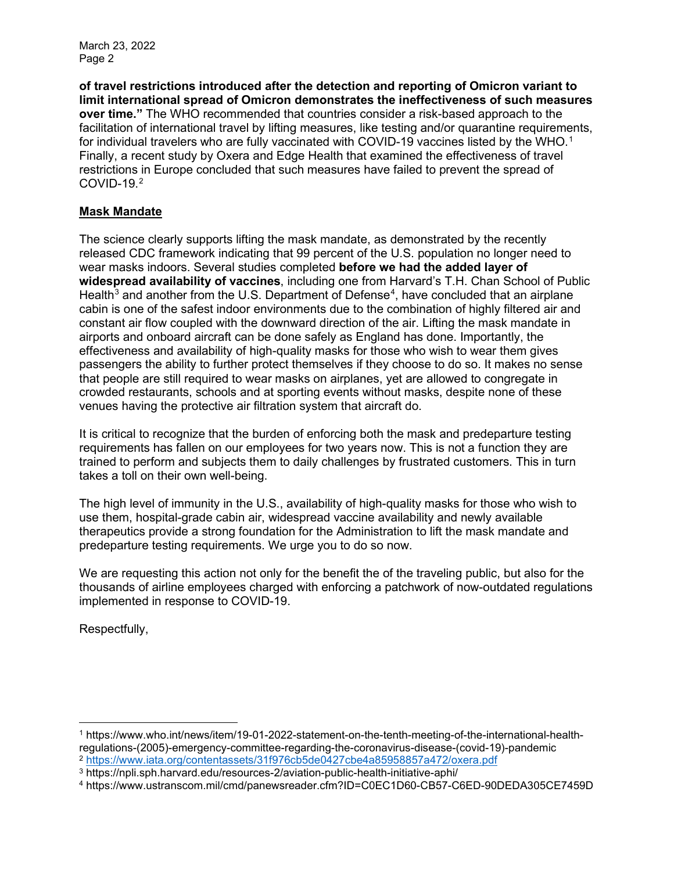March 23, 2022 Page 2

**of travel restrictions introduced after the detection and reporting of Omicron variant to limit international spread of Omicron demonstrates the ineffectiveness of such measures over time."** The WHO recommended that countries consider a risk-based approach to the facilitation of international travel by lifting measures, like testing and/or quarantine requirements, for individual travelers who are fully vaccinated with COVID-[1](#page-1-0)9 vaccines listed by the WHO.<sup>1</sup> Finally, a recent study by Oxera and Edge Health that examined the effectiveness of travel restrictions in Europe concluded that such measures have failed to prevent the spread of COVID-19.[2](#page-1-1)

## **Mask Mandate**

The science clearly supports lifting the mask mandate, as demonstrated by the recently released CDC framework indicating that 99 percent of the U.S. population no longer need to wear masks indoors. Several studies completed **before we had the added layer of widespread availability of vaccines**, including one from Harvard's T.H. Chan School of Public Health $^3$  $^3$  and another from the U.S. Department of Defense $^4$  $^4$ , have concluded that an airplane cabin is one of the safest indoor environments due to the combination of highly filtered air and constant air flow coupled with the downward direction of the air. Lifting the mask mandate in airports and onboard aircraft can be done safely as England has done. Importantly, the effectiveness and availability of high-quality masks for those who wish to wear them gives passengers the ability to further protect themselves if they choose to do so. It makes no sense that people are still required to wear masks on airplanes, yet are allowed to congregate in crowded restaurants, schools and at sporting events without masks, despite none of these venues having the protective air filtration system that aircraft do.

It is critical to recognize that the burden of enforcing both the mask and predeparture testing requirements has fallen on our employees for two years now. This is not a function they are trained to perform and subjects them to daily challenges by frustrated customers. This in turn takes a toll on their own well-being.

The high level of immunity in the U.S., availability of high-quality masks for those who wish to use them, hospital-grade cabin air, widespread vaccine availability and newly available therapeutics provide a strong foundation for the Administration to lift the mask mandate and predeparture testing requirements. We urge you to do so now.

We are requesting this action not only for the benefit the of the traveling public, but also for the thousands of airline employees charged with enforcing a patchwork of now-outdated regulations implemented in response to COVID-19.

Respectfully,

<span id="page-1-0"></span><sup>1</sup> https://www.who.int/news/item/19-01-2022-statement-on-the-tenth-meeting-of-the-international-healthregulations-(2005)-emergency-committee-regarding-the-coronavirus-disease-(covid-19)-pandemic <sup>2</sup> <https://www.iata.org/contentassets/31f976cb5de0427cbe4a85958857a472/oxera.pdf>

<span id="page-1-2"></span><span id="page-1-1"></span><sup>3</sup> https://npli.sph.harvard.edu/resources-2/aviation-public-health-initiative-aphi/

<span id="page-1-3"></span><sup>4</sup> https://www.ustranscom.mil/cmd/panewsreader.cfm?ID=C0EC1D60-CB57-C6ED-90DEDA305CE7459D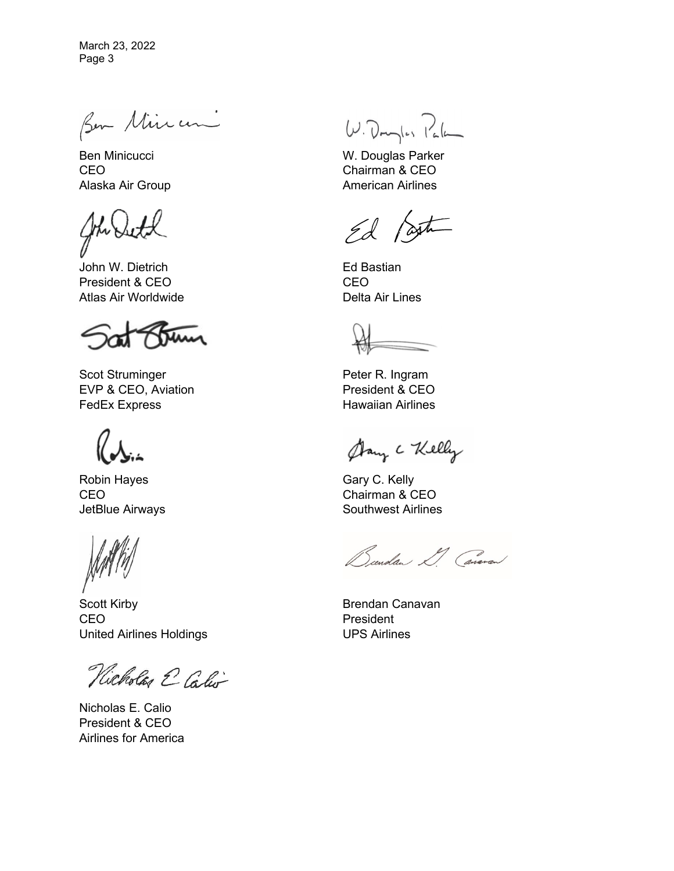March 23, 2022 Page 3

Ben Minum

Ben Minicucci CEO Alaska Air Group

John Deth

John W. Dietrich President & CEO Atlas Air Worldwide

Scot Struminger EVP & CEO, Aviation FedEx Express

Robin Hayes CEO JetBlue Airways

Scott Kirby CEO United Airlines Holdings

Nicholas & Calis

Nicholas E. Calio President & CEO Airlines for America

W. Douglas Pala

W. Douglas Parker Chairman & CEO American Airlines

Ed Post

Ed Bastian CEO Delta Air Lines

Peter R. Ingram President & CEO Hawaiian Airlines

Stany C Kelly

Gary C. Kelly Chairman & CEO Southwest Airlines

Beendan L. Canaran

Brendan Canavan President UPS Airlines